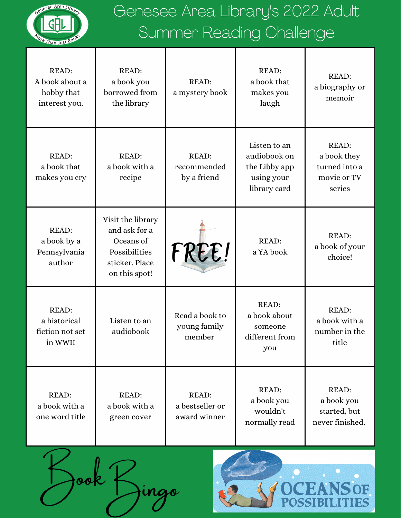

## Genesee Area Library's 2022 Adult Summer Reading Challenge

| <b>READ:</b><br>A book about a<br>hobby that<br>interest you. | READ:<br>a book you<br>borrowed from<br>the library                                                 | READ:<br>a mystery book                         | <b>READ:</b><br>a book that<br>makes you<br>laugh                           | <b>READ:</b><br>a biography or<br>memoir                              |
|---------------------------------------------------------------|-----------------------------------------------------------------------------------------------------|-------------------------------------------------|-----------------------------------------------------------------------------|-----------------------------------------------------------------------|
| READ:<br>a book that<br>makes you cry                         | READ:<br>a book with a<br>recipe                                                                    | <b>READ:</b><br>recommended<br>by a friend      | Listen to an<br>audiobook on<br>the Libby app<br>using your<br>library card | <b>READ:</b><br>a book they<br>turned into a<br>movie or TV<br>series |
| READ:<br>a book by a<br>Pennsylvania<br>author                | Visit the library<br>and ask for a<br>Oceans of<br>Possibilities<br>sticker. Place<br>on this spot! | FREE!                                           | READ:<br>a YA book                                                          | <b>READ:</b><br>a book of your<br>choice!                             |
| READ:<br>a historical<br>fiction not set<br>in WWII           | Listen to an<br>audiobook                                                                           | Read a book to<br>young family<br>member        | READ:<br>a book about<br>someone<br>different from<br>you                   | <b>READ:</b><br>a book with a<br>number in the<br>title               |
| READ:<br>a book with a<br>one word title                      | <b>READ:</b><br>a book with a<br>green cover                                                        | <b>READ:</b><br>a bestseller or<br>award winner | <b>READ:</b><br>a book you<br>wouldn't<br>normally read                     | <b>READ:</b><br>a book you<br>started, but<br>never finished.         |